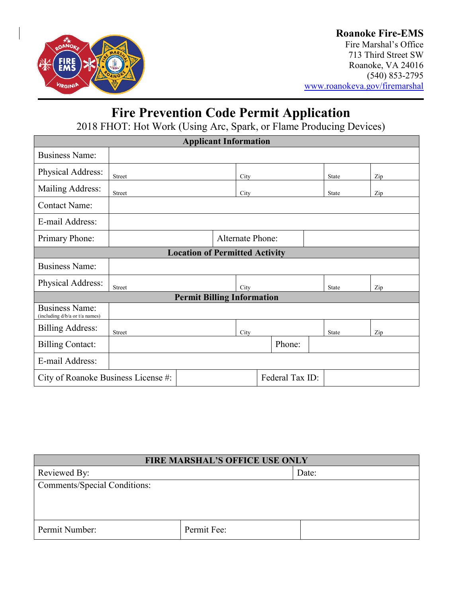

## **Roanoke Fire-EMS**

Fire Marshal's Office 713 Third Street SW Roanoke, VA 24016 (540) 853-2795 [www.roanokeva.gov/firemarshal](http://www.roanokeva.gov/firemarshal)

# **Fire Prevention Code Permit Application**

2018 FHOT: Hot Work (Using Arc, Spark, or Flame Producing Devices)

| <b>Applicant Information</b>                            |                         |  |      |        |  |              |  |     |
|---------------------------------------------------------|-------------------------|--|------|--------|--|--------------|--|-----|
| <b>Business Name:</b>                                   |                         |  |      |        |  |              |  |     |
| Physical Address:                                       | Street                  |  | City |        |  | <b>State</b> |  | Zip |
| Mailing Address:                                        | Street                  |  | City |        |  | State        |  | Zip |
| <b>Contact Name:</b>                                    |                         |  |      |        |  |              |  |     |
| E-mail Address:                                         |                         |  |      |        |  |              |  |     |
| Primary Phone:                                          | <b>Alternate Phone:</b> |  |      |        |  |              |  |     |
| <b>Location of Permitted Activity</b>                   |                         |  |      |        |  |              |  |     |
| <b>Business Name:</b>                                   |                         |  |      |        |  |              |  |     |
| Physical Address:                                       | Street                  |  | City |        |  | State        |  | Zip |
| <b>Permit Billing Information</b>                       |                         |  |      |        |  |              |  |     |
| <b>Business Name:</b><br>(including d/b/a or t/a names) |                         |  |      |        |  |              |  |     |
| <b>Billing Address:</b>                                 | <b>Street</b>           |  | City |        |  | <b>State</b> |  | Zip |
| <b>Billing Contact:</b>                                 |                         |  |      | Phone: |  |              |  |     |
| E-mail Address:                                         |                         |  |      |        |  |              |  |     |
| Federal Tax ID:<br>City of Roanoke Business License #:  |                         |  |      |        |  |              |  |     |

| <b>FIRE MARSHAL'S OFFICE USE ONLY</b> |             |       |  |  |
|---------------------------------------|-------------|-------|--|--|
| Reviewed By:                          |             | Date: |  |  |
| <b>Comments/Special Conditions:</b>   |             |       |  |  |
|                                       |             |       |  |  |
|                                       |             |       |  |  |
| Permit Number:                        | Permit Fee: |       |  |  |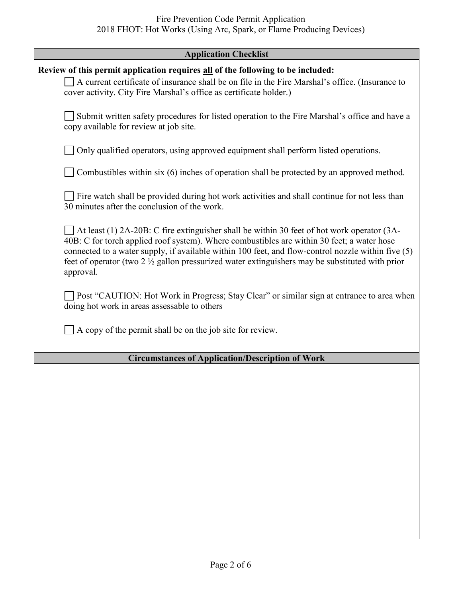#### Fire Prevention Code Permit Application 2018 FHOT: Hot Works (Using Arc, Spark, or Flame Producing Devices)

| <b>Application Checklist</b>                                                                                                                                                                                                                                                                                                                                                                                              |  |  |
|---------------------------------------------------------------------------------------------------------------------------------------------------------------------------------------------------------------------------------------------------------------------------------------------------------------------------------------------------------------------------------------------------------------------------|--|--|
| Review of this permit application requires all of the following to be included:<br>A current certificate of insurance shall be on file in the Fire Marshal's office. (Insurance to<br>cover activity. City Fire Marshal's office as certificate holder.)                                                                                                                                                                  |  |  |
| Submit written safety procedures for listed operation to the Fire Marshal's office and have a<br>copy available for review at job site.                                                                                                                                                                                                                                                                                   |  |  |
| Only qualified operators, using approved equipment shall perform listed operations.                                                                                                                                                                                                                                                                                                                                       |  |  |
| Combustibles within six (6) inches of operation shall be protected by an approved method.                                                                                                                                                                                                                                                                                                                                 |  |  |
| Fire watch shall be provided during hot work activities and shall continue for not less than<br>30 minutes after the conclusion of the work.                                                                                                                                                                                                                                                                              |  |  |
| At least (1) 2A-20B: C fire extinguisher shall be within 30 feet of hot work operator (3A-<br>40B: C for torch applied roof system). Where combustibles are within 30 feet; a water hose<br>connected to a water supply, if available within 100 feet, and flow-control nozzle within five (5)<br>feet of operator (two 2 $\frac{1}{2}$ gallon pressurized water extinguishers may be substituted with prior<br>approval. |  |  |
| Post "CAUTION: Hot Work in Progress; Stay Clear" or similar sign at entrance to area when<br>doing hot work in areas assessable to others                                                                                                                                                                                                                                                                                 |  |  |
| A copy of the permit shall be on the job site for review.                                                                                                                                                                                                                                                                                                                                                                 |  |  |
| <b>Circumstances of Application/Description of Work</b>                                                                                                                                                                                                                                                                                                                                                                   |  |  |
|                                                                                                                                                                                                                                                                                                                                                                                                                           |  |  |
|                                                                                                                                                                                                                                                                                                                                                                                                                           |  |  |
|                                                                                                                                                                                                                                                                                                                                                                                                                           |  |  |
|                                                                                                                                                                                                                                                                                                                                                                                                                           |  |  |
|                                                                                                                                                                                                                                                                                                                                                                                                                           |  |  |
|                                                                                                                                                                                                                                                                                                                                                                                                                           |  |  |
|                                                                                                                                                                                                                                                                                                                                                                                                                           |  |  |
|                                                                                                                                                                                                                                                                                                                                                                                                                           |  |  |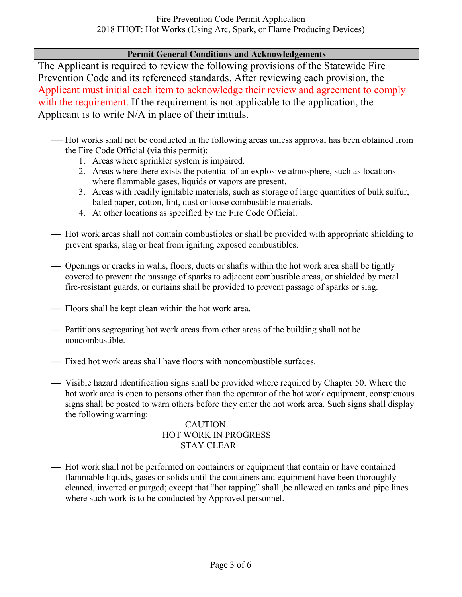#### **Permit General Conditions and Acknowledgements**

The Applicant is required to review the following provisions of the Statewide Fire Prevention Code and its referenced standards. After reviewing each provision, the Applicant must initial each item to acknowledge their review and agreement to comply with the requirement. If the requirement is not applicable to the application, the Applicant is to write N/A in place of their initials.

- Hot works shall not be conducted in the following areas unless approval has been obtained from the Fire Code Official (via this permit):
	- 1. Areas where sprinkler system is impaired.
	- 2. Areas where there exists the potential of an explosive atmosphere, such as locations where flammable gases, liquids or vapors are present.
	- 3. Areas with readily ignitable materials, such as storage of large quantities of bulk sulfur, baled paper, cotton, lint, dust or loose combustible materials.
	- 4. At other locations as specified by the Fire Code Official.
- Hot work areas shall not contain combustibles or shall be provided with appropriate shielding to prevent sparks, slag or heat from igniting exposed combustibles.
- Openings or cracks in walls, floors, ducts or shafts within the hot work area shall be tightly covered to prevent the passage of sparks to adjacent combustible areas, or shielded by metal fire-resistant guards, or curtains shall be provided to prevent passage of sparks or slag.
- Floors shall be kept clean within the hot work area.
- Partitions segregating hot work areas from other areas of the building shall not be noncombustible.
- Fixed hot work areas shall have floors with noncombustible surfaces.
- Visible hazard identification signs shall be provided where required by Chapter 50. Where the hot work area is open to persons other than the operator of the hot work equipment, conspicuous signs shall be posted to warn others before they enter the hot work area. Such signs shall display the following warning:

#### **CAUTION** HOT WORK IN PROGRESS STAY CLEAR

 $-$  Hot work shall not be performed on containers or equipment that contain or have contained flammable liquids, gases or solids until the containers and equipment have been thoroughly cleaned, inverted or purged; except that "hot tapping" shall ,be allowed on tanks and pipe lines where such work is to be conducted by Approved personnel.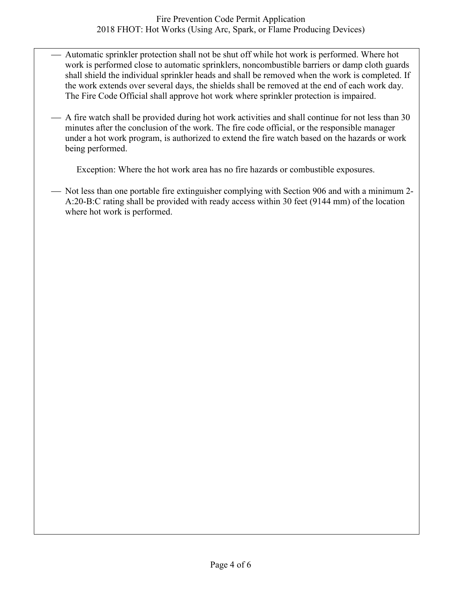#### Fire Prevention Code Permit Application 2018 FHOT: Hot Works (Using Arc, Spark, or Flame Producing Devices)

- Automatic sprinkler protection shall not be shut off while hot work is performed. Where hot work is performed close to automatic sprinklers, noncombustible barriers or damp cloth guards shall shield the individual sprinkler heads and shall be removed when the work is completed. If the work extends over several days, the shields shall be removed at the end of each work day. The Fire Code Official shall approve hot work where sprinkler protection is impaired.
- A fire watch shall be provided during hot work activities and shall continue for not less than 30 minutes after the conclusion of the work. The fire code official, or the responsible manager under a hot work program, is authorized to extend the fire watch based on the hazards or work being performed.

Exception: Where the hot work area has no fire hazards or combustible exposures.

 Not less than one portable fire extinguisher complying with Section 906 and with a minimum 2- A:20-B:C rating shall be provided with ready access within 30 feet (9144 mm) of the location where hot work is performed.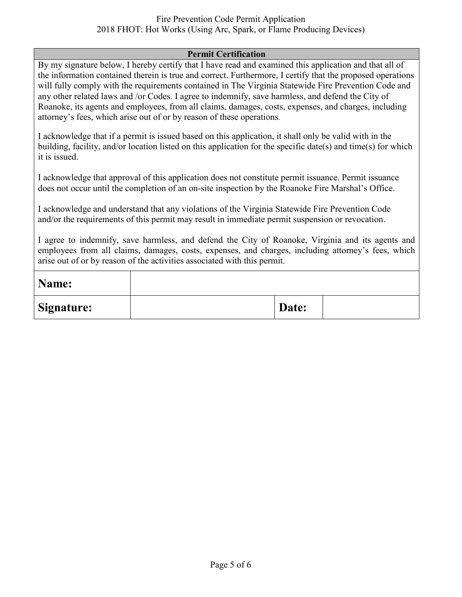#### Fire Prevention Code Permit Application 2018 FHOT: Hot Works (Using Arc, Spark, or Flame Producing Devices)

#### **Permit Certification**

By my signature below, I hereby certify that I have read and examined this application and that all of the information contained therein is true and correct. Furthermore, I certify that the proposed operations will fully comply with the requirements contained in The Virginia Statewide Fire Prevention Code and any other related laws and /or Codes. I agree to indemnify, save harmless, and defend the City of Roanoke, its agents and employees, from all claims, damages, costs, expenses, and charges, including attorney's fees, which arise out of or by reason of these operations.

I acknowledge that if a permit is issued based on this application, it shall only be valid with in the building, facility, and/or location listed on this application for the specific date(s) and time(s) for which it is issued.

I acknowledge that approval of this application does not constitute permit issuance. Permit issuance does not occur until the completion of an on-site inspection by the Roanoke Fire Marshal's Office.

I acknowledge and understand that any violations of the Virginia Statewide Fire Prevention Code and/or the requirements of this permit may result in immediate permit suspension or revocation.

I agree to indemnify, save harmless, and defend the City of Roanoke, Virginia and its agents and employees from all claims, damages, costs, expenses, and charges, including attorney's fees, which arise out of or by reason of the activities associated with this permit.

| Name:             |       |  |
|-------------------|-------|--|
| <b>Signature:</b> | Date: |  |